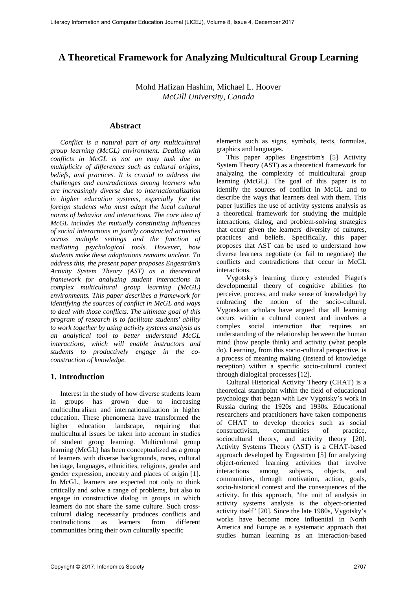# **A Theoretical Framework for Analyzing Multicultural Group Learning**

Mohd Hafizan Hashim, Michael L. Hoover *McGill University, Canada*

### **Abstract**

*Conflict is a natural part of any multicultural group learning (McGL) environment. Dealing with conflicts in McGL is not an easy task due to multiplicity of differences such as cultural origins, beliefs, and practices. It is crucial to address the challenges and contradictions among learners who are increasingly diverse due to internationalization in higher education systems, especially for the foreign students who must adapt the local cultural norms of behavior and interactions. The core idea of McGL includes the mutually constituting influences of social interactions in jointly constructed activities across multiple settings and the function of mediating psychological tools. However, how students make these adaptations remains unclear. To address this, the present paper proposes Engeström's Activity System Theory (AST) as a theoretical framework for analyzing student interactions in complex multicultural group learning (McGL) environments. This paper describes a framework for identifying the sources of conflict in McGL and ways to deal with those conflicts. The ultimate goal of this program of research is to facilitate students' ability to work together by using activity systems analysis as an analytical tool to better understand McGL interactions, which will enable instructors and students to productively engage in the coconstruction of knowledge.*

### **1. Introduction**

Interest in the study of how diverse students learn in groups has grown due to increasing multiculturalism and internationalization in higher education. These phenomena have transformed the higher education landscape, requiring that multicultural issues be taken into account in studies of student group learning. Multicultural group learning (McGL) has been conceptualized as a group of learners with diverse backgrounds, races, cultural heritage, languages, ethnicities, religions, gender and gender expression, ancestry and places of origin [1]. In McGL, learners are expected not only to think critically and solve a range of problems, but also to engage in constructive dialog in groups in which learners do not share the same culture. Such crosscultural dialog necessarily produces conflicts and contradictions as learners from different communities bring their own culturally specific

elements such as signs, symbols, texts, formulas, graphics and languages.

This paper applies Engeström's [5] Activity System Theory (AST) as a theoretical framework for analyzing the complexity of multicultural group learning (McGL). The goal of this paper is to identify the sources of conflict in McGL and to describe the ways that learners deal with them. This paper justifies the use of activity systems analysis as a theoretical framework for studying the multiple interactions, dialog, and problem-solving strategies that occur given the learners' diversity of cultures, practices and beliefs. Specifically, this paper proposes that AST can be used to understand how diverse learners negotiate (or fail to negotiate) the conflicts and contradictions that occur in McGL interactions.

Vygotsky's learning theory extended Piaget's developmental theory of cognitive abilities (to perceive, process, and make sense of knowledge) by embracing the notion of the socio-cultural. Vygotskian scholars have argued that all learning occurs within a cultural context and involves a complex social interaction that requires an understanding of the relationship between the human mind (how people think) and activity (what people do). Learning, from this socio-cultural perspective, is a process of meaning making (instead of knowledge reception) within a specific socio-cultural context through dialogical processes [12].

Cultural Historical Activity Theory (CHAT) is a theoretical standpoint within the field of educational psychology that began with Lev Vygotsky's work in Russia during the 1920s and 1930s. Educational researchers and practitioners have taken components of CHAT to develop theories such as social constructivism, communities of practice, sociocultural theory, and activity theory [20]. Activity Systems Theory (AST) is a CHAT-based approach developed by Engeström [5] for analyzing object-oriented learning activities that involve interactions among subjects, objects, and communities, through motivation, action, goals, socio-historical context and the consequences of the activity. In this approach, "the unit of analysis in activity systems analysis is the object-oriented activity itself" [20]. Since the late 1980s, Vygotsky's works have become more influential in North America and Europe as a systematic approach that studies human learning as an interaction-based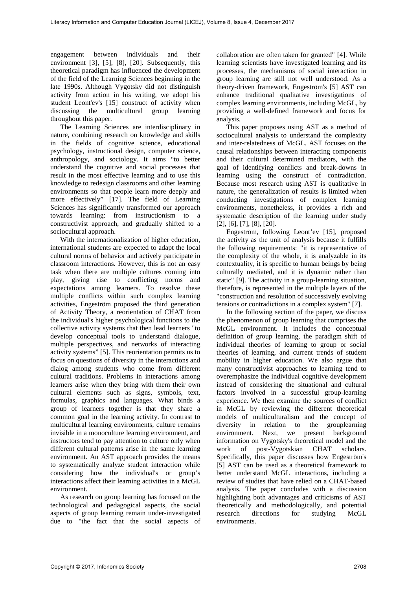engagement between individuals and their environment [3], [5], [8], [20]. Subsequently, this theoretical paradigm has influenced the development of the field of the Learning Sciences beginning in the late 1990s. Although Vygotsky did not distinguish activity from action in his writing, we adopt his student Leont'ev's [15] construct of activity when discussing the multicultural group learning throughout this paper.

The Learning Sciences are interdisciplinary in nature, combining research on knowledge and skills in the fields of cognitive science, educational psychology, instructional design, computer science, anthropology, and sociology. It aims "to better understand the cognitive and social processes that result in the most effective learning and to use this knowledge to redesign classrooms and other learning environments so that people learn more deeply and more effectively" [17]. The field of Learning Sciences has significantly transformed our approach towards learning: from instructionism to a constructivist approach, and gradually shifted to a sociocultural approach.

With the internationalization of higher education, international students are expected to adapt the local cultural norms of behavior and actively participate in classroom interactions. However, this is not an easy task when there are multiple cultures coming into play, giving rise to conflicting norms and expectations among learners. To resolve these multiple conflicts within such complex learning activities, Engeström proposed the third generation of Activity Theory, a reorientation of CHAT from the individual's higher psychological functions to the collective activity systems that then lead learners "to develop conceptual tools to understand dialogue, multiple perspectives, and networks of interacting activity systems" [5]. This reorientation permits us to focus on questions of diversity in the interactions and dialog among students who come from different cultural traditions. Problems in interactions among learners arise when they bring with them their own cultural elements such as signs, symbols, text, formulas, graphics and languages. What binds a group of learners together is that they share a common goal in the learning activity. In contrast to multicultural learning environments, culture remains invisible in a monoculture learning environment, and instructors tend to pay attention to culture only when different cultural patterns arise in the same learning environment. An AST approach provides the means to systematically analyze student interaction while considering how the individual's or group's interactions affect their learning activities in a McGL environment.

As research on group learning has focused on the technological and pedagogical aspects, the social aspects of group learning remain under-investigated due to "the fact that the social aspects of collaboration are often taken for granted" [4]. While learning scientists have investigated learning and its processes, the mechanisms of social interaction in group learning are still not well understood. As a theory-driven framework, Engeström's [5] AST can enhance traditional qualitative investigations of complex learning environments, including McGL, by providing a well-defined framework and focus for analysis.

This paper proposes using AST as a method of sociocultural analysis to understand the complexity and inter-relatedness of McGL. AST focuses on the causal relationships between interacting components and their cultural determined mediators, with the goal of identifying conflicts and break-downs in learning using the construct of contradiction. Because most research using AST is qualitative in nature, the generalization of results is limited when conducting investigations of complex learning environments, nonetheless, it provides a rich and systematic description of the learning under study [2], [6], [7], [8], [20].

Engeström, following Leont'ev [15], proposed the activity as the unit of analysis because it fulfills the following requirements: "it is representative of the complexity of the whole, it is analyzable in its contextuality, it is specific to human beings by being culturally mediated, and it is dynamic rather than static" [9]. The activity in a group-learning situation, therefore, is represented in the multiple layers of the "construction and resolution of successively evolving tensions or contradictions in a complex system" [7].

In the following section of the paper, we discuss the phenomenon of group learning that comprises the McGL environment. It includes the conceptual definition of group learning, the paradigm shift of individual theories of learning to group or social theories of learning, and current trends of student mobility in higher education. We also argue that many constructivist approaches to learning tend to overemphasize the individual cognitive development instead of considering the situational and cultural factors involved in a successful group-learning experience. We then examine the sources of conflict in McGL by reviewing the different theoretical models of multiculturalism and the concept of diversity in relation to the grouplearning diversity in relation to the environment. Next, we present background information on Vygotsky's theoretical model and the work of post-Vygotskian CHAT scholars. Specifically, this paper discusses how Engeström's [5] AST can be used as a theoretical framework to better understand McGL interactions, including a review of studies that have relied on a CHAT-based analysis. The paper concludes with a discussion highlighting both advantages and criticisms of AST theoretically and methodologically, and potential research directions for studying McGL environments.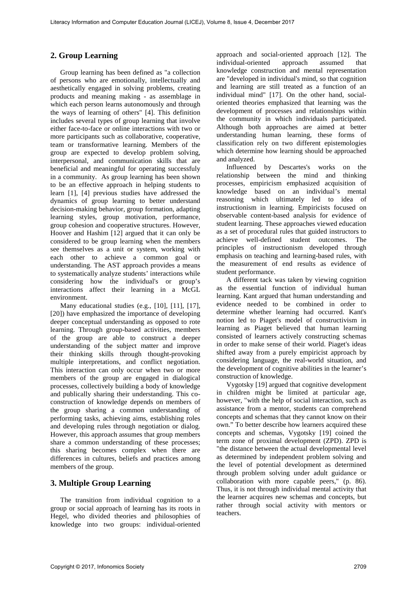# **2. Group Learning**

Group learning has been defined as "a collection of persons who are emotionally, intellectually and aesthetically engaged in solving problems, creating products and meaning making - as assemblage in which each person learns autonomously and through the ways of learning of others" [4]. This definition includes several types of group learning that involve either face-to-face or online interactions with two or more participants such as collaborative, cooperative, team or transformative learning. Members of the group are expected to develop problem solving, interpersonal, and communication skills that are beneficial and meaningful for operating successfuly in a community. As group learning has been shown to be an effective approach in helping students to learn [1], [4] previous studies have addressed the dynamics of group learning to better understand decision-making behavior, group formation, adapting learning styles, group motivation, performance, group cohesion and cooperative structures. However, Hoover and Hashim [12] argued that it can only be considered to be group learning when the members see themselves as a unit or system, working with each other to achieve a common goal or understanding. The AST approach provides a means to systematically analyze students' interactions while considering how the individual's or group's interactions affect their learning in a McGL environment.

Many educational studies (e.g., [10], [11], [17], [20]) have emphasized the importance of developing deeper conceptual understanding as opposed to rote learning. Through group-based activities, members of the group are able to construct a deeper understanding of the subject matter and improve their thinking skills through thought-provoking multiple interpretations, and conflict negotiation. This interaction can only occur when two or more members of the group are engaged in dialogical processes, collectively building a body of knowledge and publically sharing their understanding. This coconstruction of knowledge depends on members of the group sharing a common understanding of performing tasks, achieving aims, establishing roles and developing rules through negotiation or dialog. However, this approach assumes that group members share a common understanding of these processes; this sharing becomes complex when there are differences in cultures, beliefs and practices among members of the group.

# **3. Multiple Group Learning**

The transition from individual cognition to a group or social approach of learning has its roots in Hegel, who divided theories and philosophies of knowledge into two groups: individual-oriented approach and social-oriented approach [12]. The individual-oriented approach assumed that knowledge construction and mental representation are "developed in individual's mind, so that cognition and learning are still treated as a function of an individual mind" [17]. On the other hand, socialoriented theories emphasized that learning was the development of processes and relationships within the community in which individuals participated. Although both approaches are aimed at better understanding human learning, these forms of classification rely on two different epistemologies which determine how learning should be approached and analyzed.

Influenced by Descartes's works on the relationship between the mind and thinking processes, empiricism emphasized acquisition of knowledge based on an individual's mental reasoning which ultimately led to idea of instructionism in learning. Empiricists focused on observable content-based analysis for evidence of student learning. These approaches viewed education as a set of procedural rules that guided instructors to achieve well-defined student outcomes. The principles of instructionism developed through emphasis on teaching and learning-based rules, with the measurement of end results as evidence of student performance.

A different tack was taken by viewing cognition as the essential function of individual human learning. Kant argued that human understanding and evidence needed to be combined in order to determine whether learning had occurred. Kant's notion led to Piaget's model of constructivism in learning as Piaget believed that human learning consisted of learners actively constructing schemas in order to make sense of their world. Piaget's ideas shifted away from a purely empiricist approach by considering language, the real-world situation, and the development of cognitive abilities in the learner's construction of knowledge.

Vygotsky [19] argued that cognitive development in children might be limited at particular age, however, "with the help of social interaction, such as assistance from a mentor, students can comprehend concepts and schemas that they cannot know on their own." To better describe how learners acquired these concepts and schemas, Vygotsky [19] coined the term zone of proximal development (ZPD). ZPD is "the distance between the actual developmental level as determined by independent problem solving and the level of potential development as determined through problem solving under adult guidance or collaboration with more capable peers," (p. 86). Thus, it is not through individual mental activity that the learner acquires new schemas and concepts, but rather through social activity with mentors or teachers.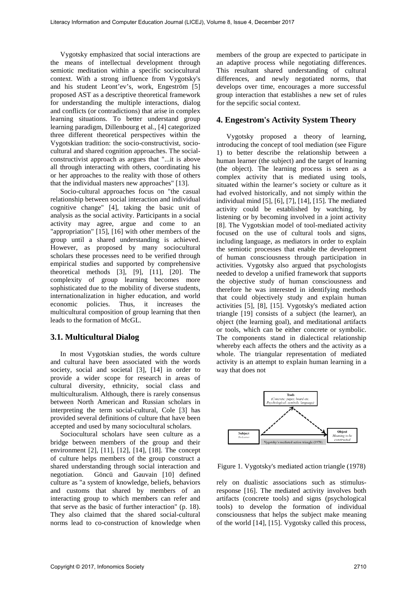Vygotsky emphasized that social interactions are the means of intellectual development through semiotic meditation within a specific sociocultural context. With a strong influence from Vygotsky's and his student Leont'ev's, work, Engeström [5] proposed AST as a descriptive theoretical framework for understanding the multiple interactions, dialog and conflicts (or contradictions) that arise in complex learning situations. To better understand group learning paradigm, Dillenbourg et al., [4] categorized three different theoretical perspectives within the Vygotskian tradition: the socio-constructivist, sociocultural and shared cognition approaches. The socialconstructivist approach as argues that "...it is above all through interacting with others, coordinating his or her approaches to the reality with those of others that the individual masters new approaches" [13].

Socio-cultural approaches focus on "the casual relationship between social interaction and individual cognitive change" [4], taking the basic unit of analysis as the social activity. Participants in a social activity may agree, argue and come to an "appropriation" [15], [16] with other members of the group until a shared understanding is achieved. However, as proposed by many sociocultural scholars these processes need to be verified through empirical studies and supported by comprehensive theoretical methods [3], [9], [11], [20]. The complexity of group learning becomes more sophisticated due to the mobility of diverse students, internationalization in higher education, and world economic policies. Thus, it increases the multicultural composition of group learning that then leads to the formation of McGL.

# **3.1. Multicultural Dialog**

In most Vygotskian studies, the words culture and cultural have been associated with the words society, social and societal [3], [14] in order to provide a wider scope for research in areas of cultural diversity, ethnicity, social class and multiculturalism. Although, there is rarely consensus between North American and Russian scholars in interpreting the term social-cultural, Cole [3] has provided several definitions of culture that have been accepted and used by many sociocultural scholars.

Sociocultural scholars have seen culture as a bridge between members of the group and their environment [2], [11], [12], [14], [18]. The concept of culture helps members of the group construct a shared understanding through social interaction and negotiation. Göncü and Gauvain [10] defined culture as "a system of knowledge, beliefs, behaviors and customs that shared by members of an interacting group to which members can refer and that serve as the basic of further interaction" (p. 18). They also claimed that the shared social-cultural norms lead to co-construction of knowledge when

members of the group are expected to participate in an adaptive process while negotiating differences. This resultant shared understanding of cultural differences, and newly negotiated norms, that develops over time, encourages a more successful group interaction that establishes a new set of rules for the sepcific social context.

## **4. Engestrom's Activity System Theory**

Vygotsky proposed a theory of learning, introducing the concept of tool mediation (see Figure 1) to better describe the relationship between a human learner (the subject) and the target of learning (the object). The learning process is seen as a complex activity that is mediated using tools, situated within the learner's society or culture as it had evolved historically, and not simply within the individual mind [5], [6], [7], [14], [15]. The mediated activity could be established by watching, by listening or by becoming involved in a joint activity [8]. The Vygotskian model of tool-mediated activity focused on the use of cultural tools and signs, including language, as mediators in order to explain the semiotic processes that enable the development of human consciousness through participation in activities. Vygotsky also argued that psychologists needed to develop a unified framework that supports the objective study of human consciousness and therefore he was interested in identifying methods that could objectively study and explain human activities [5], [8], [15]. Vygotsky's mediated action triangle [19] consists of a subject (the learner), an object (the learning goal), and meditational artifacts or tools, which can be either concrete or symbolic. The components stand in dialectical relationship whereby each affects the others and the activity as a whole. The triangular representation of mediated activity is an attempt to explain human learning in a way that does not



Figure 1. Vygotsky's mediated action triangle (1978)

rely on dualistic associations such as stimulusresponse [16]. The mediated activity involves both artifacts (concrete tools) and signs (psychological tools) to develop the formation of individual consciousness that helps the subject make meaning of the world [14], [15]. Vygotsky called this process,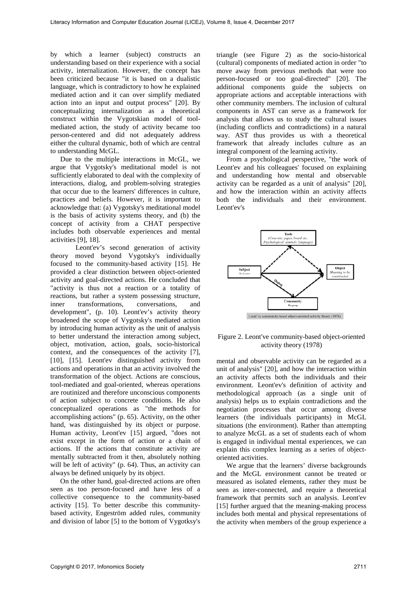by which a learner (subject) constructs an understanding based on their experience with a social activity, internalization. However, the concept has been criticized because "it is based on a dualistic language, which is contradictory to how he explained mediated action and it can over simplify mediated action into an input and output process" [20]. By conceptualizing internalization as a theoretical construct within the Vygotskian model of toolmediated action, the study of activity became too person-centered and did not adequately address either the cultural dynamic, both of which are central to understanding McGL.

Due to the multiple interactions in McGL, we argue that Vygotsky's meditational model is not sufficiently elaborated to deal with the complexity of interactions, dialog, and problem-solving strategies that occur due to the learners' differences in culture, practices and beliefs. However, it is important to acknowledge that: (a) Vygotsky's meditational model is the basis of activity systems theory, and (b) the concept of activity from a CHAT perspective includes both observable experiences and mental activities [9], 18].

Leont'ev's second generation of activity theory moved beyond Vygotsky's individually focused to the community-based activity [15]. He provided a clear distinction between object-oriented activity and goal-directed actions. He concluded that "activity is thus not a reaction or a totality of reactions, but rather a system possessing structure, inner transformations, conversations, and development", (p. 10). Leont'ev's activity theory broadened the scope of Vygotsky's mediated action by introducing human activity as the unit of analysis to better understand the interaction among subject, object, motivation, action, goals, socio-historical context, and the consequences of the activity [7], [10], [15]. Leont'ev distinguished activity from actions and operations in that an activity involved the transformation of the object. Actions are conscious, tool-mediated and goal-oriented, whereas operations are routinized and therefore unconscious components of action subject to concrete conditions. He also conceptualized operations as "the methods for accomplishing actions" (p. 65). Activity, on the other hand, was distinguished by its object or purpose. Human activity, Leont'ev [15] argued, "does not exist except in the form of action or a chain of actions. If the actions that constitute activity are mentally subtracted from it then, absolutely nothing will be left of activity" (p. 64). Thus, an activity can always be defined uniquely by its object.

On the other hand, goal-directed actions are often seen as too person-focused and have less of a collective consequence to the community-based activity [15]. To better describe this communitybased activity, Engeström added rules, community and division of labor [5] to the bottom of Vygotksy's

triangle (see Figure 2) as the socio-historical (cultural) components of mediated action in order "to move away from previous methods that were too person-focused or too goal-directed" [20]. The additional components guide the subjects on appropriate actions and acceptable interactions with other community members. The inclusion of cultural components in AST can serve as a framework for analysis that allows us to study the cultural issues (including conflicts and contradictions) in a natural way. AST thus provides us with a theoretical framework that already includes culture as an integral component of the learning activity.

From a psychological perspective, "the work of Leont'ev and his colleagues' focused on explaining and understanding how mental and observable activity can be regarded as a unit of analysis" [20], and how the interaction within an activity affects both the individuals and their environment. Leont'ev's



#### Figure 2. Leont've community-based object-oriented activity theory (1978)

mental and observable activity can be regarded as a unit of analysis" [20], and how the interaction within an activity affects both the individuals and their environment. Leont'ev's definition of activity and methodological approach (as a single unit of analysis) helps us to explain contradictions and the negotiation processes that occur among diverse learners (the individuals participants) in McGL situations (the environment). Rather than attempting to analyze McGL as a set of students each of whom is engaged in individual mental experiences, we can explain this complex learning as a series of objectoriented activities.

We argue that the learners' diverse backgrounds and the McGL environment cannot be treated or measured as isolated elements, rather they must be seen as inter-connected, and require a theoretical framework that permits such an analysis. Leont'ev [15] further argued that the meaning-making process includes both mental and physical representations of the activity when members of the group experience a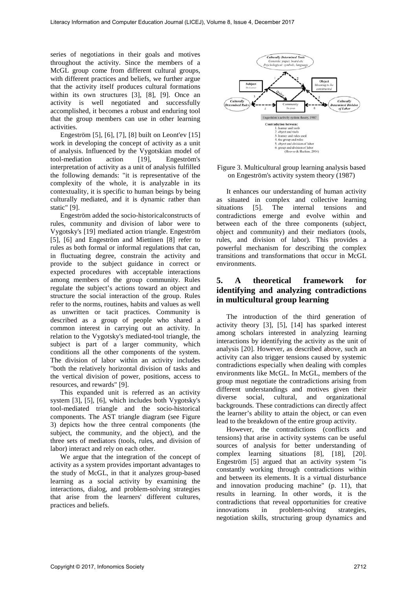series of negotiations in their goals and motives throughout the activity. Since the members of a McGL group come from different cultural groups, with different practices and beliefs, we further argue that the activity itself produces cultural formations within its own structures [3], [8], [9]. Once an activity is well negotiated and successfully accomplished, it becomes a robust and enduring tool that the group members can use in other learning activities.

Engeström [5], [6], [7], [8] built on Leont'ev [15] work in developing the concept of activity as a unit of analysis. Influenced by the Vygotskian model of tool-mediation action [19], Engeström's interpretation of activity as a unit of analysis fulfilled the following demands: "it is representative of the complexity of the whole, it is analyzable in its contextuality, it is specific to human beings by being culturally mediated, and it is dynamic rather than static" [9].

Engeström added the socio-historicalconstructs of rules, community and division of labor were to Vygotsky's [19] mediated action triangle. Engeström [5], [6] and Engeström and Miettinen [8] refer to rules as both formal or informal regulations that can, in fluctuating degree, constrain the activity and provide to the subject guidance in correct or expected procedures with acceptable interactions among members of the group community. Rules regulate the subject's actions toward an object and structure the social interaction of the group. Rules refer to the norms, routines, habits and values as well as unwritten or tacit practices. Community is described as a group of people who shared a common interest in carrying out an activity. In relation to the Vygotsky's mediated-tool triangle, the subject is part of a larger community, which conditions all the other components of the system. The division of labor within an activity includes "both the relatively horizontal division of tasks and the vertical division of power, positions, access to resources, and rewards" [9].

This expanded unit is referred as an activity system [3], [5], [6], which includes both Vygotsky's tool-mediated triangle and the socio-historical components. The AST triangle diagram (see Figure 3) depicts how the three central components (the subject, the community, and the object), and the three sets of mediators (tools, rules, and division of labor) interact and rely on each other.

We argue that the integration of the concept of activity as a system provides important advantages to the study of McGL, in that it analyzes group-based learning as a social activity by examining the interactions, dialog, and problem-solving strategies that arise from the learners' different cultures, practices and beliefs.



#### Figure 3. Multicultural group learning analysis based on Engeström's activity system theory (1987)

It enhances our understanding of human activity as situated in complex and collective learning situations [5]. The internal tensions and contradictions emerge and evolve within and between each of the three components (subject, object and community) and their mediators (tools, rules, and division of labor). This provides a powerful mechanism for describing the complex transitions and transformations that occur in McGL environments.

# **5. A theoretical framework for identifying and analyzing contradictions in multicultural group learning**

The introduction of the third generation of activity theory [3], [5], [14] has sparked interest among scholars interested in analyzing learning interactions by identifying the activity as the unit of analysis [20]. However, as described above, such an activity can also trigger tensions caused by systemic contradictions especially when dealing with comples environments like McGL. In McGL, members of the group must negotiate the contradictions arising from different understandings and motives given their diverse social, cultural, and organizational backgrounds. These contradictions can directly affect the learner's ability to attain the object, or can even lead to the breakdown of the entire group activity.

However, the contradictions (conflicts and tensions) that arise in activity systems can be useful sources of analysis for better understanding of complex learning situations [8], [18], [20]. Engeström [5] argued that an activity system "is constantly working through contradictions within and between its elements. It is a virtual disturbance and innovation producing machine" (p. 11), that results in learning. In other words, it is the contradictions that reveal opportunities for creative innovations in problem-solving strategies, negotiation skills, structuring group dynamics and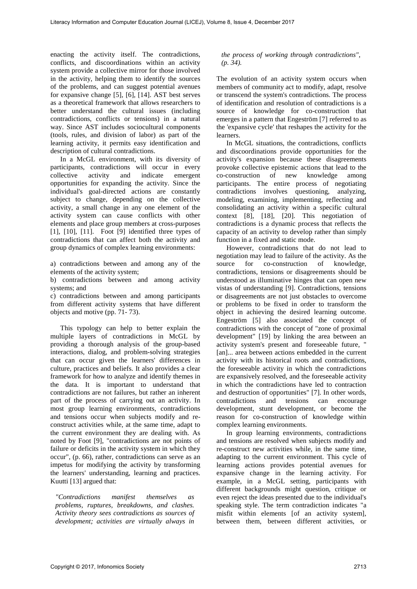enacting the activity itself. The contradictions, conflicts, and discoordinations within an activity system provide a collective mirror for those involved in the activity, helping them to identify the sources of the problems, and can suggest potential avenues for expansive change [5], [6], [14]. AST best serves as a theoretical framework that allows researchers to better understand the cultural issues (including contradictions, conflicts or tensions) in a natural way. Since AST includes sociocultural components (tools, rules, and division of labor) as part of the learning activity, it permits easy identification and description of cultural contradictions.

In a McGL environment, with its diversity of participants, contradictions will occur in every collective activity and indicate emergent collective activity and indicate emergent opportunities for expanding the activity. Since the individual's goal-directed actions are constantly subject to change, depending on the collective activity, a small change in any one element of the activity system can cause conflicts with other elements and place group members at cross-purposes [1], [10], [11]. Foot [9] identified three types of contradictions that can affect both the activity and group dynamics of complex learning environments:

a) contradictions between and among any of the elements of the activity system;

b) contradictions between and among activity systems; and

c) contradictions between and among participants from different activity systems that have different objects and motive (pp. 71- 73).

This typology can help to better explain the multiple layers of contradictions in McGL by providing a thorough analysis of the group-based interactions, dialog, and problem-solving strategies that can occur given the learners' differences in culture, practices and beliefs. It also provides a clear framework for how to analyze and identify themes in the data. It is important to understand that contradictions are not failures, but rather an inherent part of the process of carrying out an activity. In most group learning environments, contradictions and tensions occur when subjects modify and reconstruct activities while, at the same time, adapt to the current environment they are dealing with. As noted by Foot [9], "contradictions are not points of failure or deficits in the activity system in which they occur", (p. 66), rather, contradictions can serve as an impetus for modifying the activity by transforming the learners' understanding, learning and practices. Kuutti [13] argued that:

*"Contradictions manifest themselves as problems, ruptures, breakdowns, and clashes. Activity theory sees contradictions as sources of development; activities are virtually always in* 

#### *the process of working through contradictions", (p. 34).*

The evolution of an activity system occurs when members of community act to modify, adapt, resolve or transcend the system's contradictions. The process of identification and resolution of contradictions is a source of knowledge for co-construction that emerges in a pattern that Engeström [7] referred to as the 'expansive cycle' that reshapes the activity for the learners.

In McGL situations, the contradictions, conflicts and discoordinations provide opportunities for the activity's expansion because these disagreements provoke collective epistemic actions that lead to the co-construction of new knowledge among co-construction of new knowledge among participants. The entire process of negotiating contradictions involves questioning, analyzing, modeling, examining, implementing, reflecting and consolidating an activity within a specific cultural context [8], [18], [20]. This negotiation of contradictions is a dynamic process that reflects the capacity of an activity to develop rather than simply function in a fixed and static mode.

However, contradictions that do not lead to negotiation may lead to failure of the activity. As the source for co-construction of knowledge, contradictions, tensions or disagreements should be understood as illuminative hinges that can open new vistas of understanding [9]. Contradictions, tensions or disagreements are not just obstacles to overcome or problems to be fixed in order to transform the object in achieving the desired learning outcome. Engeström [5] also associated the concept of contradictions with the concept of "zone of proximal development" [19] by linking the area between an activity system's present and foreseeable future, " [an]... area between actions embedded in the current activity with its historical roots and contradictions, the foreseeable activity in which the contradictions are expansively resolved, and the foreseeable activity in which the contradictions have led to contraction and destruction of opportunities" [7]. In other words, contradictions and tensions can encourage development, stunt development, or become the reason for co-construction of knowledge within complex learning environments.

In group learning environments, contradictions and tensions are resolved when subjects modify and re-construct new activities while, in the same time, adapting to the current environment. This cycle of learning actions provides potential avenues for expansive change in the learning activity. For example, in a McGL setting, participants with different backgrounds might question, critique or even reject the ideas presented due to the individual's speaking style. The term contradiction indicates "a misfit within elements [of an activity system], between them, between different activities, or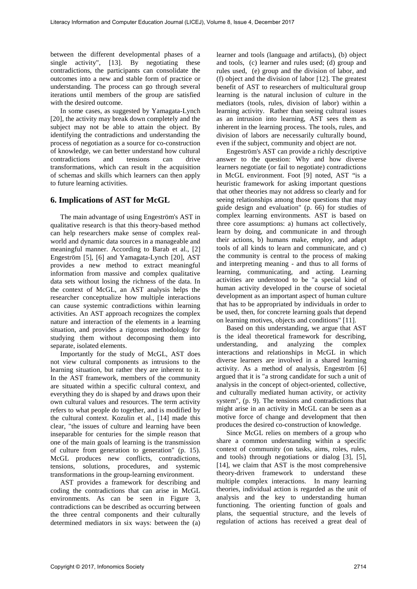between the different developmental phases of a single activity", [13]. By negotiating these contradictions, the participants can consolidate the outcomes into a new and stable form of practice or understanding. The process can go through several iterations until members of the group are satisfied with the desired outcome.

In some cases, as suggested by Yamagata-Lynch [20], the activity may break down completely and the subject may not be able to attain the object. By identifying the contradictions and understanding the process of negotiation as a source for co-construction of knowledge, we can better understand how cultural contradictions and tensions can drive transformations, which can result in the acquisition of schemas and skills which learners can then apply to future learning activities.

## **6. Implications of AST for McGL**

The main advantage of using Engeström's AST in qualitative research is that this theory-based method can help researchers make sense of complex realworld and dynamic data sources in a manageable and meaningful manner. According to Barab et al., [2] Engeström [5], [6] and Yamagata-Lynch [20], AST provides a new method to extract meaningful information from massive and complex qualitative data sets without losing the richness of the data. In the context of McGL, an AST analysis helps the researcher conceptualize how multiple interactions can cause systemic contradictions within learning activities. An AST approach recognizes the complex nature and interaction of the elements in a learning situation, and provides a rigorous methodology for studying them without decomposing them into separate, isolated elements.

Importantly for the study of McGL, AST does not view cultural components as intrusions to the learning situation, but rather they are inherent to it. In the AST framework, members of the community are situated within a specific cultural context, and everything they do is shaped by and draws upon their own cultural values and resources. The term activity refers to what people do together, and is modified by the cultural context. Kozulin et al., [14] made this clear, "the issues of culture and learning have been inseparable for centuries for the simple reason that one of the main goals of learning is the transmission of culture from generation to generation" (p. 15). McGL produces new conflicts, contradictions, tensions, solutions, procedures, and systemic transformations in the group-learning environment.

AST provides a framework for describing and coding the contradictions that can arise in McGL environments. As can be seen in Figure 3, contradictions can be described as occurring between the three central components and their culturally determined mediators in six ways: between the (a)

learner and tools (language and artifacts), (b) object and tools, (c) learner and rules used; (d) group and rules used, (e) group and the division of labor, and (f) object and the division of labor [12]. The greatest benefit of AST to researchers of multicultural group learning is the natural inclusion of culture in the mediators (tools, rules, division of labor) within a learning activity. Rather than seeing cultural issues as an intrusion into learning, AST sees them as inherent in the learning process. The tools, rules, and division of labors are necessarily culturally bound, even if the subject, community and object are not.

Engeström's AST can provide a richly descriptive answer to the question: Why and how diverse learners negotiate (or fail to negotiate) contradictions in McGL environment. Foot [9] noted, AST "is a heuristic framework for asking important questions that other theories may not address so clearly and for seeing relationships among those questions that may guide design and evaluation" (p. 66) for studies of complex learning environments. AST is based on three core assumptions: a) humans act collectively, learn by doing, and communicate in and through their actions, b) humans make, employ, and adapt tools of all kinds to learn and communicate, and c) the community is central to the process of making and interpreting meaning - and thus to all forms of learning, communicating, and acting. Learning activities are understood to be "a special kind of human activity developed in the course of societal development as an important aspect of human culture that has to be appropriated by individuals in order to be used, then, for concrete learning goals that depend on learning motives, objects and conditions" [11].

Based on this understanding, we argue that AST is the ideal theoretical framework for describing, understanding, and analyzing the complex interactions and relationships in McGL in which diverse learners are involved in a shared learning activity. As a method of analysis, Engeström [6] argued that it is "a strong candidate for such a unit of analysis in the concept of object-oriented, collective, and culturally mediated human activity, or activity system", (p. 9). The tensions and contradictions that might arise in an activity in McGL can be seen as a motive force of change and development that then produces the desired co-construction of knowledge.

Since McGL relies on members of a group who share a common understanding within a specific context of community (on tasks, aims, roles, rules, and tools) through negotiations or dialog [3], [5], [14], we claim that AST is the most comprehensive theory-driven framework to understand these multiple complex interactions. In many learning theories, individual action is regarded as the unit of analysis and the key to understanding human functioning. The orienting function of goals and plans, the sequential structure, and the levels of regulation of actions has received a great deal of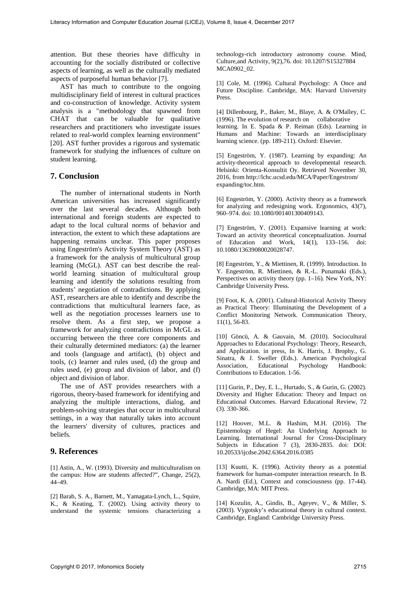attention. But these theories have difficulty in accounting for the socially distributed or collective aspects of learning, as well as the culturally mediated aspects of purposeful human behavior [7].

AST has much to contribute to the ongoing multidisciplinary field of interest in cultural practices and co-construction of knowledge. Activity system analysis is a "methodology that spawned from CHAT that can be valuable for qualitative researchers and practitioners who investigate issues related to real-world complex learning environment" [20]. AST further provides a rigorous and systematic framework for studying the influences of culture on student learning.

# **7. Conclusion**

The number of international students in North American universities has increased significantly over the last several decades. Although both international and foreign students are expected to adapt to the local cultural norms of behavior and interaction, the extent to which these adaptations are happening remains unclear. This paper proposes using Engeström's Activity System Theory (AST) as a framework for the analysis of multicultural group learning (McGL). AST can best describe the realworld learning situation of multicultural group learning and identify the solutions resulting from students' negotiation of contradictions. By applying AST, researchers are able to identify and describe the contradictions that multicultural learners face, as well as the negotiation processes learners use to resolve them. As a first step, we propose a framework for analyzing contradictions in McGL as occurring between the three core components and their culturally determined mediators: (a) the learner and tools (language and artifact), (b) object and tools, (c) learner and rules used, (d) the group and rules used, (e) group and division of labor, and (f) object and division of labor.

The use of AST provides researchers with a rigorous, theory-based framework for identifying and analyzing the multiple interactions, dialog, and problem-solving strategies that occur in multicultural settings, in a way that naturally takes into account the learners' diversity of cultures, practices and beliefs.

### **9. References**

[1] Astin, A., W. (1993). Diversity and multiculturalism on the campus: How are students affected?", Change, 25(2), 44–49.

[2] Barab, S. A., Barnett, M., Yamagata-Lynch, L., Squire, K., & Keating, T. (2002). Using activity theory to understand the systemic tensions characterizing a

technology-rich introductory astronomy course. Mind, Culture,and Activity, 9(2),76. doi: 10.1207/S15327884 MCA0902\_02.

[3] Cole, M. (1996). Cultural Psychology: A Once and Future Discipline. Cambridge, MA: Harvard University Press.

[4] Dillenbourg, P., Baker, M., Blaye, A. & O'Malley, C. (1996). The evolution of research on collaborative learning. In E. Spada & P. Reiman (Eds). Learning in Humans and Machine: Towards an interdisciplinary learning science. (pp. 189-211). Oxford: Elsevier.

[5] Engeström, Y. (1987). Learning by expanding: An activity-theoretical approach to developmental research. Helsinki: Orienta-Konsultit Oy. Retrieved November 30, 2016, from http://lchc.ucsd.edu/MCA/Paper/Engestrom/ expanding/toc.htm.

[6] Engeström, Y. (2000). Activity theory as a framework for analyzing and redesigning work. Ergonomics, 43(7), 960–974. doi: 10.1080/001401300409143.

[7] Engeström, Y. (2001). Expansive learning at work: Toward an activity theoretical conceptualization. Journal of Education and Work, 14(1), 133–156. doi: 10.1080/13639080020028747.

[8] Engeström, Y., & Miettinen, R. (1999). Introduction. In Y. Engeström, R. Miettinen, & R.-L. Punamaki (Eds.), Perspectives on activity theory (pp. 1–16). New York, NY: Cambridge University Press.

[9] Foot, K. A. (2001). Cultural-Historical Activity Theory as Practical Theory: Illuminating the Development of a Conflict Monitoring Network. Communication Theory, 11(1), 56-83.

[10] Göncü, A. & Gauvain, M. (2010). Sociocultural Approaches to Educational Psychology: Theory, Research, and Application. in press, In K. Harris, J. Brophy., G. Sinatra, & J. Sweller (Eds.). American Psychological Association. Educational Psychology Handbook: Psychology Contributions to Education. 1-56.

[11] Gurin, P., Dey, E. L., Hurtado, S., & Gurin, G. (2002). Diversity and Higher Education: Theory and Impact on Educational Outcomes. Harvard Educational Review, 72 (3). 330-366.

[12] Hoover, M.L. & Hashim, M.H. (2016). The Epistemology of Hegel: An Underlying Approach to Learning. International Journal for Cross-Disciplinary Subjects in Education 7 (3), 2830-2835. doi: DOI: 10.20533/ijcdse.2042.6364.2016.0385

[13] Kuutti, K. (1996). Activity theory as a potential framework for human-computer interaction research. In B. A. Nardi (Ed.), Context and consciousness (pp. 17-44). Cambridge, MA: MIT Press.

[14] Kozulin, A., Gindis, B., Ageyev, V., & Miller, S. (2003). Vygotsky's educational theory in cultural context. Cambridge, England: Cambridge University Press.